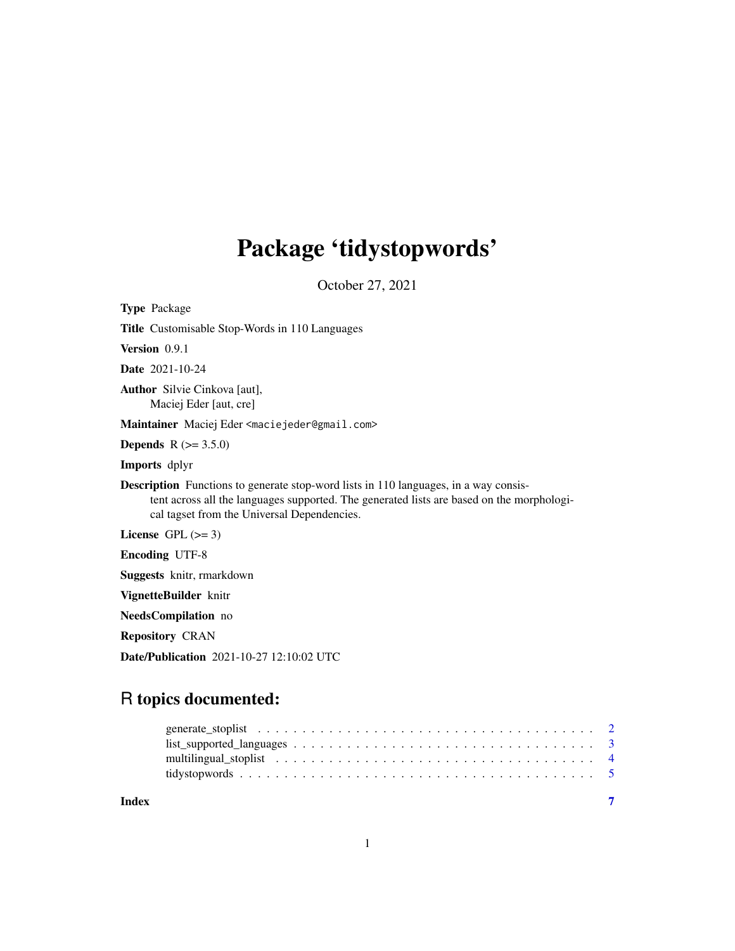## Package 'tidystopwords'

October 27, 2021

Type Package Title Customisable Stop-Words in 110 Languages Version 0.9.1 Date 2021-10-24 Author Silvie Cinkova [aut], Maciej Eder [aut, cre] Maintainer Maciej Eder <maciejeder@gmail.com> **Depends**  $R (= 3.5.0)$ Imports dplyr Description Functions to generate stop-word lists in 110 languages, in a way consistent across all the languages supported. The generated lists are based on the morphological tagset from the Universal Dependencies. License GPL  $(>= 3)$ Encoding UTF-8 Suggests knitr, rmarkdown VignetteBuilder knitr NeedsCompilation no Repository CRAN Date/Publication 2021-10-27 12:10:02 UTC

### R topics documented:

| Index |  |
|-------|--|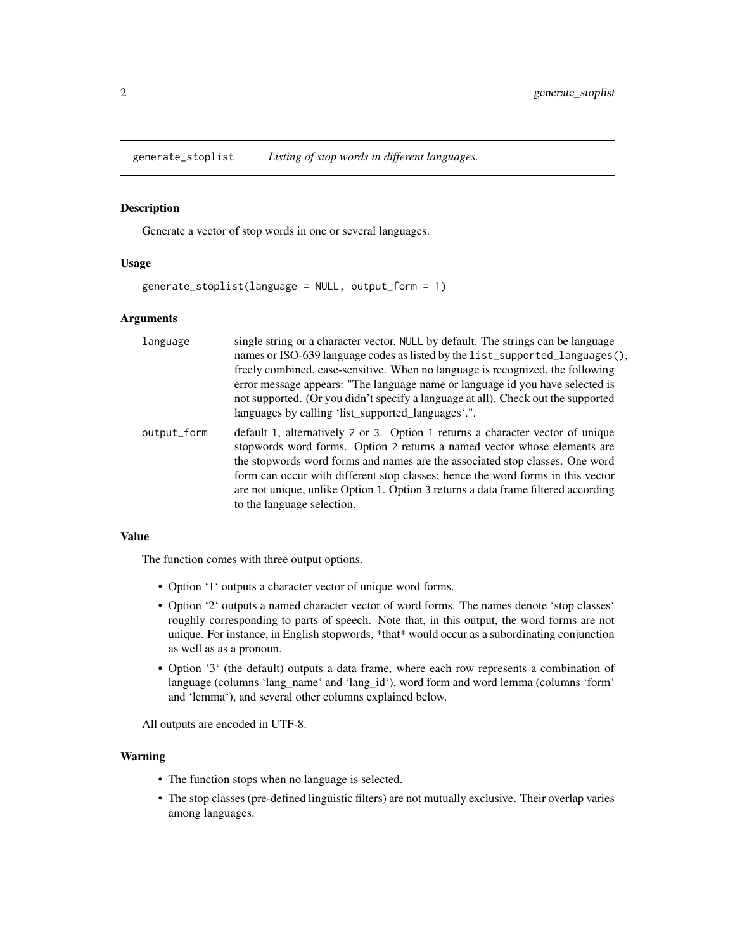<span id="page-1-1"></span><span id="page-1-0"></span>generate\_stoplist *Listing of stop words in different languages.*

#### Description

Generate a vector of stop words in one or several languages.

#### Usage

generate\_stoplist(language = NULL, output\_form = 1)

#### Arguments

| language    | single string or a character vector. NULL by default. The strings can be language<br>names or ISO-639 language codes as listed by the list_supported_languages(),<br>freely combined, case-sensitive. When no language is recognized, the following<br>error message appears: "The language name or language id you have selected is<br>not supported. (Or you didn't specify a language at all). Check out the supported<br>languages by calling 'list_supported_languages'.". |
|-------------|---------------------------------------------------------------------------------------------------------------------------------------------------------------------------------------------------------------------------------------------------------------------------------------------------------------------------------------------------------------------------------------------------------------------------------------------------------------------------------|
| output_form | default 1, alternatively 2 or 3. Option 1 returns a character vector of unique<br>stopwords word forms. Option 2 returns a named vector whose elements are<br>the stopwords word forms and names are the associated stop classes. One word<br>form can occur with different stop classes; hence the word forms in this vector<br>are not unique, unlike Option 1. Option 3 returns a data frame filtered according<br>to the language selection.                                |

#### Value

The function comes with three output options.

- Option '1' outputs a character vector of unique word forms.
- Option '2' outputs a named character vector of word forms. The names denote 'stop classes' roughly corresponding to parts of speech. Note that, in this output, the word forms are not unique. For instance, in English stopwords, \*that\* would occur as a subordinating conjunction as well as as a pronoun.
- Option '3' (the default) outputs a data frame, where each row represents a combination of language (columns 'lang\_name' and 'lang\_id'), word form and word lemma (columns 'form' and 'lemma'), and several other columns explained below.

All outputs are encoded in UTF-8.

#### Warning

- The function stops when no language is selected.
- The stop classes (pre-defined linguistic filters) are not mutually exclusive. Their overlap varies among languages.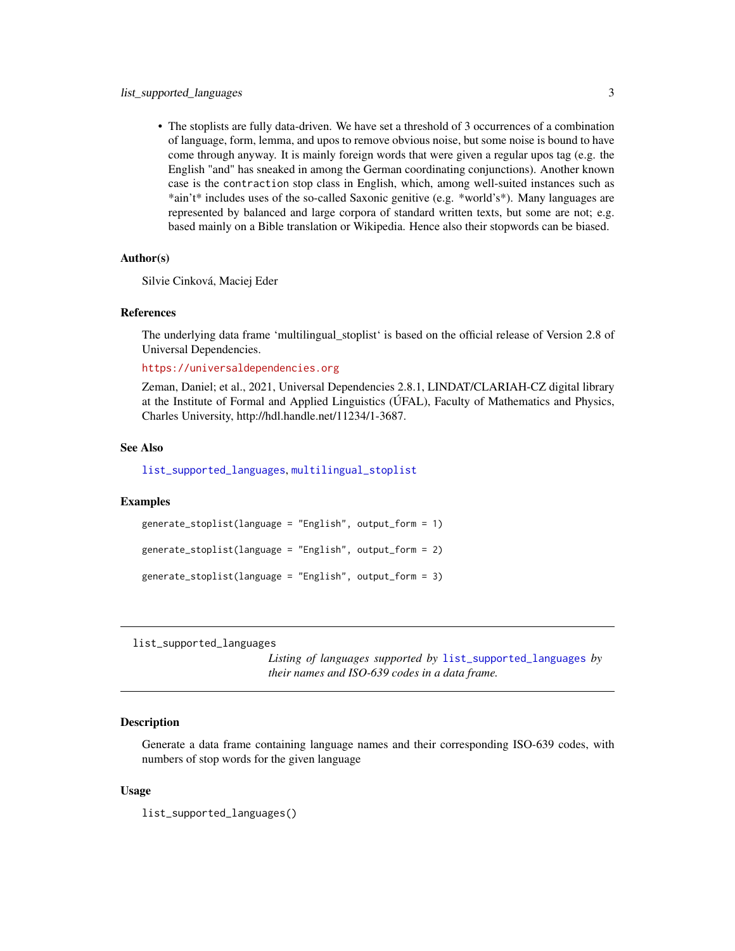<span id="page-2-0"></span>• The stoplists are fully data-driven. We have set a threshold of 3 occurrences of a combination of language, form, lemma, and upos to remove obvious noise, but some noise is bound to have come through anyway. It is mainly foreign words that were given a regular upos tag (e.g. the English "and" has sneaked in among the German coordinating conjunctions). Another known case is the contraction stop class in English, which, among well-suited instances such as \*ain't\* includes uses of the so-called Saxonic genitive (e.g. \*world's\*). Many languages are represented by balanced and large corpora of standard written texts, but some are not; e.g. based mainly on a Bible translation or Wikipedia. Hence also their stopwords can be biased.

#### Author(s)

Silvie Cinková, Maciej Eder

#### References

The underlying data frame 'multilingual\_stoplist' is based on the official release of Version 2.8 of Universal Dependencies.

<https://universaldependencies.org>

Zeman, Daniel; et al., 2021, Universal Dependencies 2.8.1, LINDAT/CLARIAH-CZ digital library at the Institute of Formal and Applied Linguistics (ÚFAL), Faculty of Mathematics and Physics, Charles University, http://hdl.handle.net/11234/1-3687.

#### See Also

[list\\_supported\\_languages](#page-2-1), [multilingual\\_stoplist](#page-3-1)

#### Examples

```
generate_stoplist(language = "English", output_form = 1)
generate_stoplist(language = "English", output_form = 2)
generate_stoplist(language = "English", output_form = 3)
```
<span id="page-2-1"></span>list\_supported\_languages

*Listing of languages supported by* [list\\_supported\\_languages](#page-2-1) *by their names and ISO-639 codes in a data frame.*

#### **Description**

Generate a data frame containing language names and their corresponding ISO-639 codes, with numbers of stop words for the given language

#### Usage

list\_supported\_languages()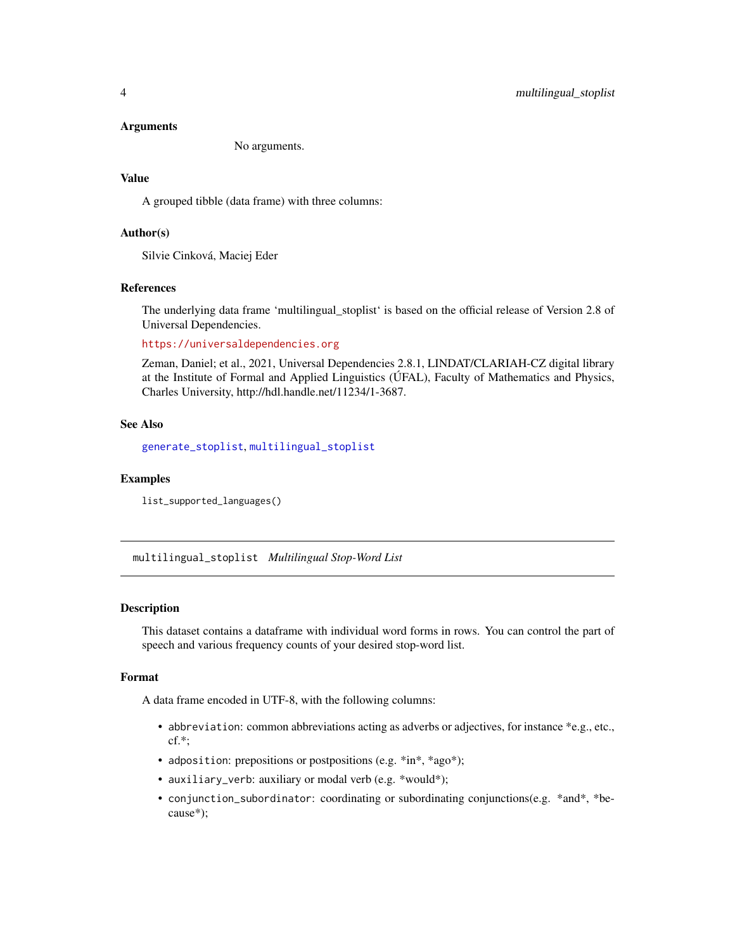#### <span id="page-3-0"></span>Arguments

No arguments.

#### Value

A grouped tibble (data frame) with three columns:

#### Author(s)

Silvie Cinková, Maciej Eder

#### References

The underlying data frame 'multilingual\_stoplist' is based on the official release of Version 2.8 of Universal Dependencies.

<https://universaldependencies.org>

Zeman, Daniel; et al., 2021, Universal Dependencies 2.8.1, LINDAT/CLARIAH-CZ digital library at the Institute of Formal and Applied Linguistics (ÚFAL), Faculty of Mathematics and Physics, Charles University, http://hdl.handle.net/11234/1-3687.

#### See Also

[generate\\_stoplist](#page-1-1), [multilingual\\_stoplist](#page-3-1)

#### Examples

list\_supported\_languages()

<span id="page-3-1"></span>multilingual\_stoplist *Multilingual Stop-Word List*

#### Description

This dataset contains a dataframe with individual word forms in rows. You can control the part of speech and various frequency counts of your desired stop-word list.

#### Format

A data frame encoded in UTF-8, with the following columns:

- abbreviation: common abbreviations acting as adverbs or adjectives, for instance \*e.g., etc., cf.\*;
- adposition: prepositions or postpositions (e.g. \*in\*, \*ago\*);
- auxiliary\_verb: auxiliary or modal verb (e.g. \*would\*);
- conjunction\_subordinator: coordinating or subordinating conjunctions(e.g. \*and\*, \*because\*);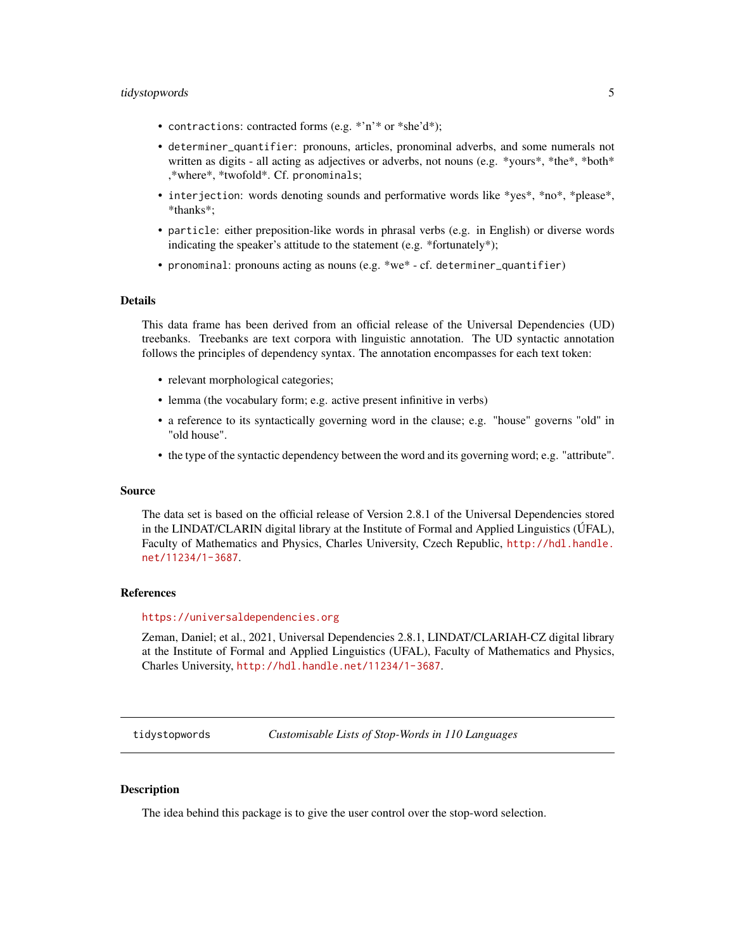#### <span id="page-4-0"></span>tidystopwords 5

- contractions: contracted forms (e.g. \*'n'\* or \*she'd\*);
- determiner\_quantifier: pronouns, articles, pronominal adverbs, and some numerals not written as digits - all acting as adjectives or adverbs, not nouns (e.g.  $\ast$ yours $\ast$ ,  $\ast$ the $\ast$ ,  $\ast$ both $\ast$ ,\*where\*, \*twofold\*. Cf. pronominals;
- interjection: words denoting sounds and performative words like \*yes\*, \*no\*, \*please\*, \*thanks\*;
- particle: either preposition-like words in phrasal verbs (e.g. in English) or diverse words indicating the speaker's attitude to the statement (e.g. \*fortunately\*);
- pronominal: pronouns acting as nouns (e.g. \*we\* cf. determiner\_quantifier)

#### Details

This data frame has been derived from an official release of the Universal Dependencies (UD) treebanks. Treebanks are text corpora with linguistic annotation. The UD syntactic annotation follows the principles of dependency syntax. The annotation encompasses for each text token:

- relevant morphological categories;
- lemma (the vocabulary form; e.g. active present infinitive in verbs)
- a reference to its syntactically governing word in the clause; e.g. "house" governs "old" in "old house".
- the type of the syntactic dependency between the word and its governing word; e.g. "attribute".

#### Source

The data set is based on the official release of Version 2.8.1 of the Universal Dependencies stored in the LINDAT/CLARIN digital library at the Institute of Formal and Applied Linguistics (ÚFAL), Faculty of Mathematics and Physics, Charles University, Czech Republic, [http://hdl.handle.](http://hdl.handle.net/11234/1-3687) [net/11234/1-3687](http://hdl.handle.net/11234/1-3687).

#### References

#### <https://universaldependencies.org>

Zeman, Daniel; et al., 2021, Universal Dependencies 2.8.1, LINDAT/CLARIAH-CZ digital library at the Institute of Formal and Applied Linguistics (UFAL), Faculty of Mathematics and Physics, Charles University, <http://hdl.handle.net/11234/1-3687>.

tidystopwords *Customisable Lists of Stop-Words in 110 Languages*

#### **Description**

The idea behind this package is to give the user control over the stop-word selection.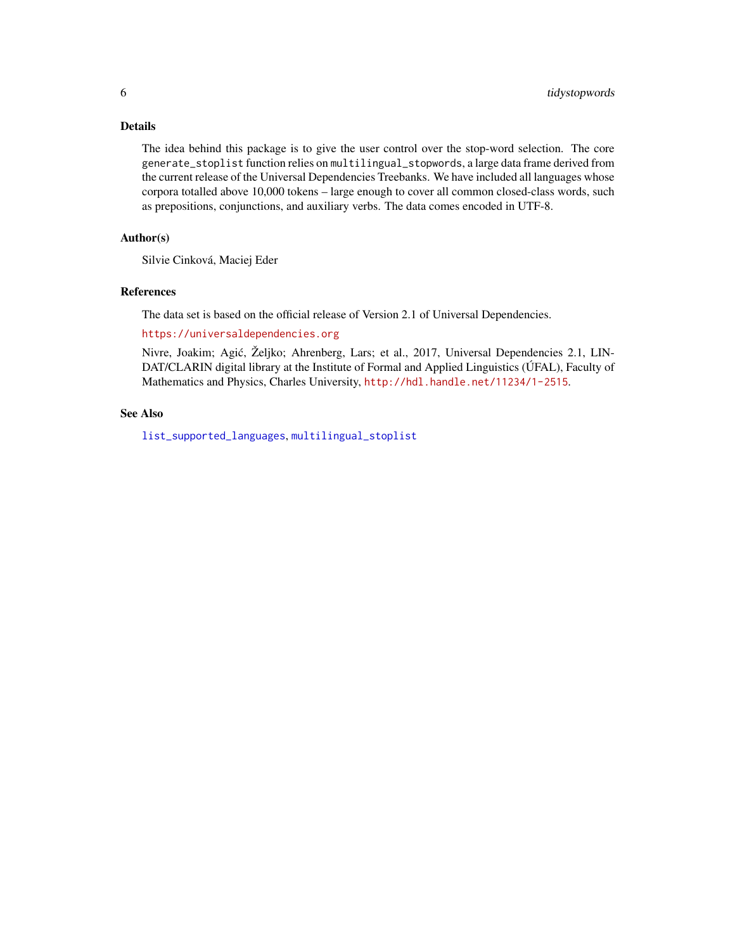#### <span id="page-5-0"></span>Details

The idea behind this package is to give the user control over the stop-word selection. The core generate\_stoplist function relies on multilingual\_stopwords, a large data frame derived from the current release of the Universal Dependencies Treebanks. We have included all languages whose corpora totalled above 10,000 tokens – large enough to cover all common closed-class words, such as prepositions, conjunctions, and auxiliary verbs. The data comes encoded in UTF-8.

#### Author(s)

Silvie Cinková, Maciej Eder

#### References

The data set is based on the official release of Version 2.1 of Universal Dependencies.

#### <https://universaldependencies.org>

Nivre, Joakim; Agic, Željko; Ahrenberg, Lars; et al., 2017, Universal Dependencies 2.1, LIN- ´ DAT/CLARIN digital library at the Institute of Formal and Applied Linguistics (ÚFAL), Faculty of Mathematics and Physics, Charles University, <http://hdl.handle.net/11234/1-2515>.

#### See Also

[list\\_supported\\_languages](#page-2-1), [multilingual\\_stoplist](#page-3-1)